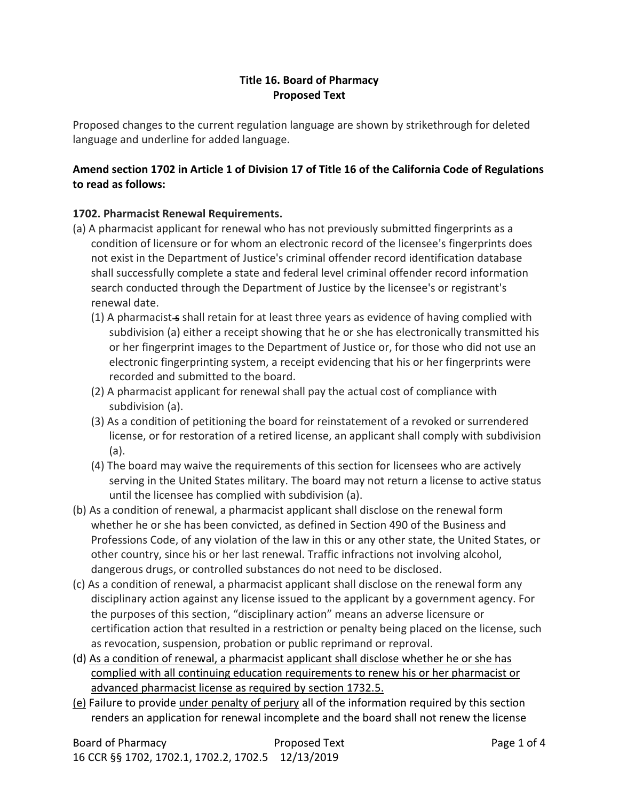#### **Title 16. Board of Pharmacy Proposed Text**

Proposed changes to the current regulation language are shown by strikethrough for deleted language and underline for added language.

# **Amend section 1702 in Article 1 of Division 17 of Title 16 of the California Code of Regulations to read as follows:**

## **1702. Pharmacist Renewal Requirements.**

- (a) A pharmacist applicant for renewal who has not previously submitted fingerprints as a condition of licensure or for whom an electronic record of the licensee's fingerprints does not exist in the Department of Justice's criminal offender record identification database shall successfully complete a state and federal level criminal offender record information search conducted through the Department of Justice by the licensee's or registrant's renewal date.
	- $(1)$  A pharmacist-s shall retain for at least three years as evidence of having complied with subdivision (a) either a receipt showing that he or she has electronically transmitted his or her fingerprint images to the Department of Justice or, for those who did not use an electronic fingerprinting system, a receipt evidencing that his or her fingerprints were recorded and submitted to the board.
	- (2) A pharmacist applicant for renewal shall pay the actual cost of compliance with subdivision (a).
	- (3) As a condition of petitioning the board for reinstatement of a revoked or surrendered license, or for restoration of a retired license, an applicant shall comply with subdivision (a).
	- (4) The board may waive the requirements of this section for licensees who are actively serving in the United States military. The board may not return a license to active status until the licensee has complied with subdivision (a).
- (b) As a condition of renewal, a pharmacist applicant shall disclose on the renewal form whether he or she has been convicted, as defined in Section 490 of the Business and Professions Code, of any violation of the law in this or any other state, the United States, or other country, since his or her last renewal. Traffic infractions not involving alcohol, dangerous drugs, or controlled substances do not need to be disclosed.
- (c) As a condition of renewal, a pharmacist applicant shall disclose on the renewal form any disciplinary action against any license issued to the applicant by a government agency. For the purposes of this section, "disciplinary action" means an adverse licensure or certification action that resulted in a restriction or penalty being placed on the license, such as revocation, suspension, probation or public reprimand or reproval.
- (d) As a condition of renewal, a pharmacist applicant shall disclose whether he or she has complied with all continuing education requirements to renew his or her pharmacist or advanced pharmacist license as required by section 1732.5.
- (e) Failure to provide under penalty of perjury all of the information required by this section renders an application for renewal incomplete and the board shall not renew the license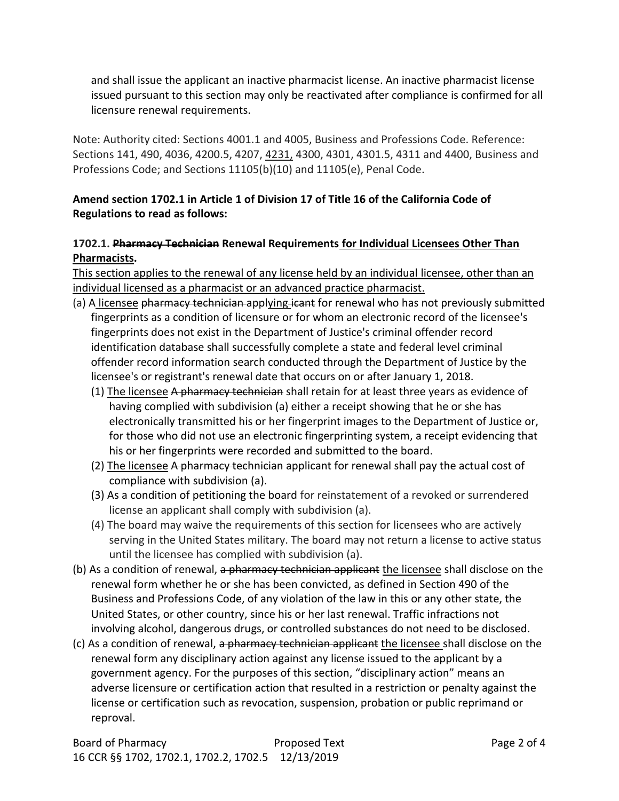and shall issue the applicant an inactive pharmacist license. An inactive pharmacist license issued pursuant to this section may only be reactivated after compliance is confirmed for all licensure renewal requirements.

Note: Authority cited: Sections 4001.1 and 4005, Business and Professions Code. Reference: Sections 141, 490, 4036, 4200.5, 4207, 4231, 4300, 4301, 4301.5, 4311 and 4400, Business and Professions Code; and Sections 11105(b)(10) and 11105(e), Penal Code.

# **Amend section 1702.1 in Article 1 of Division 17 of Title 16 of the California Code of Regulations to read as follows:**

## **1702.1. Pharmacy Technician Renewal Requirements for Individual Licensees Other Than Pharmacists.**

This section applies to the renewal of any license held by an individual licensee, other than an individual licensed as a pharmacist or an advanced practice pharmacist.

- (a) A licensee pharmacy technician applying icant for renewal who has not previously submitted fingerprints as a condition of licensure or for whom an electronic record of the licensee's fingerprints does not exist in the Department of Justice's criminal offender record identification database shall successfully complete a state and federal level criminal offender record information search conducted through the Department of Justice by the licensee's or registrant's renewal date that occurs on or after January 1, 2018.
	- (1) The licensee  $A$  pharmacy technician shall retain for at least three years as evidence of having complied with subdivision (a) either a receipt showing that he or she has electronically transmitted his or her fingerprint images to the Department of Justice or, for those who did not use an electronic fingerprinting system, a receipt evidencing that his or her fingerprints were recorded and submitted to the board.
	- (2) The licensee A pharmacy technician applicant for renewal shall pay the actual cost of compliance with subdivision (a).
	- (3) As a condition of petitioning the board for reinstatement of a revoked or surrendered license an applicant shall comply with subdivision (a).
	- (4) The board may waive the requirements of this section for licensees who are actively serving in the United States military. The board may not return a license to active status until the licensee has complied with subdivision (a).
- (b) As a condition of renewal, a pharmacy technician applicant the licensee shall disclose on the renewal form whether he or she has been convicted, as defined in Section 490 of the Business and Professions Code, of any violation of the law in this or any other state, the United States, or other country, since his or her last renewal. Traffic infractions not involving alcohol, dangerous drugs, or controlled substances do not need to be disclosed.
- (c) As a condition of renewal, a pharmacy technician applicant the licensee shall disclose on the renewal form any disciplinary action against any license issued to the applicant by a government agency. For the purposes of this section, "disciplinary action" means an adverse licensure or certification action that resulted in a restriction or penalty against the license or certification such as revocation, suspension, probation or public reprimand or reproval.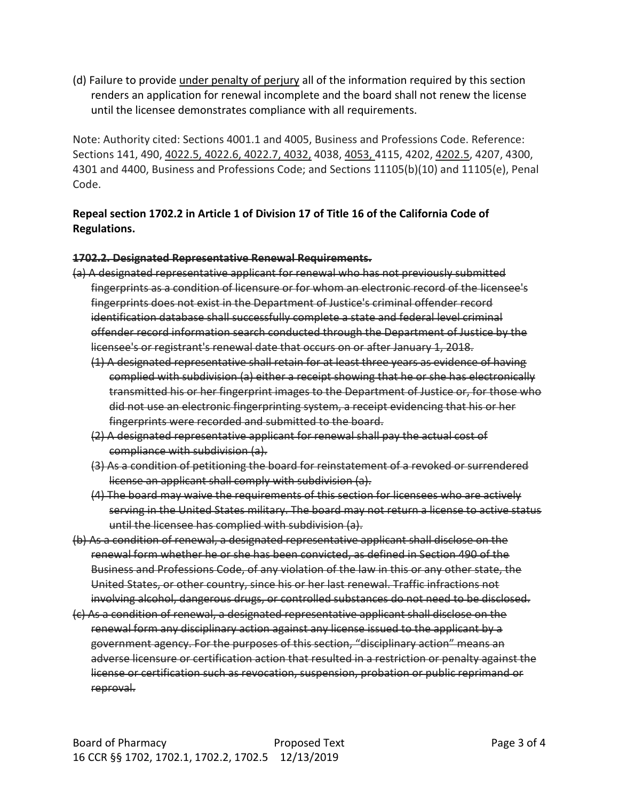(d) Failure to provide under penalty of perjury all of the information required by this section renders an application for renewal incomplete and the board shall not renew the license until the licensee demonstrates compliance with all requirements.

Note: Authority cited: Sections 4001.1 and 4005, Business and Professions Code. Reference: Sections 141, 490, 4022.5, 4022.6, 4022.7, 4032, 4038, 4053, 4115, 4202, 4202.5, 4207, 4300, 4301 and 4400, Business and Professions Code; and Sections 11105(b)(10) and 11105(e), Penal Code.

## **Repeal section 1702.2 in Article 1 of Division 17 of Title 16 of the California Code of Regulations.**

#### **1702.2. Designated Representative Renewal Requirements.**

- (a) A designated representative applicant for renewal who has not previously submitted fingerprints as a condition of licensure or for whom an electronic record of the licensee's fingerprints does not exist in the Department of Justice's criminal offender record identification database shall successfully complete a state and federal level criminal offender record information search conducted through the Department of Justice by the licensee's or registrant's renewal date that occurs on or after January 1, 2018.
	- (1) A designated representative shall retain for at least three years as evidence of having complied with subdivision (a) either a receipt showing that he or she has electronically transmitted his or her fingerprint images to the Department of Justice or, for those who did not use an electronic fingerprinting system, a receipt evidencing that his or her fingerprints were recorded and submitted to the board.
	- (2) A designated representative applicant for renewal shall pay the actual cost of compliance with subdivision (a).
	- (3) As a condition of petitioning the board for reinstatement of a revoked or surrendered license an applicant shall comply with subdivision (a).
	- (4) The board may waive the requirements of this section for licensees who are actively serving in the United States military. The board may not return a license to active status until the licensee has complied with subdivision (a).
- (b) As a condition of renewal, a designated representative applicant shall disclose on the renewal form whether he or she has been convicted, as defined in Section 490 of the Business and Professions Code, of any violation of the law in this or any other state, the United States, or other country, since his or her last renewal. Traffic infractions not involving alcohol, dangerous drugs, or controlled substances do not need to be disclosed.
- (c) As a condition of renewal, a designated representative applicant shall disclose on the renewal form any disciplinary action against any license issued to the applicant by a government agency. For the purposes of this section, "disciplinary action" means an adverse licensure or certification action that resulted in a restriction or penalty against the license or certification such as revocation, suspension, probation or public reprimand or reproval.